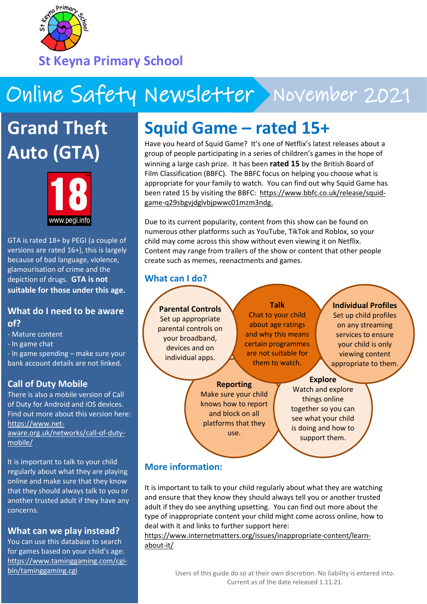

# Online Safety Newsletter November 2021

**Grand Theft Auto (GTA)**



GTA is rated 18+ by PEGI (a couple of versions are rated 16+), this is largely because of bad language, violence, glamourisation of crime and the depiction of drugs. **GTA is not suitable for those under this age.**

#### **What do I need to be aware of?**

- Mature content
- In game chat

- In game spending – make sure your bank account details are not linked.

## **Call of Duty Mobile**

There is also a mobile version of Call of Duty for Android and iOS devices. Find out more about this version here: [https://www.net](https://www.net-aware.org.uk/networks/call-of-duty-mobile/)[aware.org.uk/networks/call-of-duty](https://www.net-aware.org.uk/networks/call-of-duty-mobile/)[mobile/](https://www.net-aware.org.uk/networks/call-of-duty-mobile/)

It is important to talk to your child regularly about what they are playing online and make sure that they know that they should always talk to you or another trusted adult if they have any concerns.

## **What can we play instead?**

You can use this database to search for games based on your child's age: [https://www.taminggaming.com/cgi](https://www.taminggaming.com/cgi-bin/taminggaming.cgi)[bin/taminggaming.cgi](https://www.taminggaming.com/cgi-bin/taminggaming.cgi)

## **Squid Game – rated 15+**

Have you heard of Squid Game? It's one of Netflix's latest releases about a group of people participating in a series of children's games in the hope of winning a large cash prize. It has been **rated 15** by the British Board of Film Classification (BBFC). The BBFC focus on helping you choose what is appropriate for your family to watch. You can find out why Squid Game has been rated 15 by visiting the BBFC: [https://www.bbfc.co.uk/release/squid](https://www.bbfc.co.uk/release/squid-game-q29sbgvjdglvbjpwwc01mzm3ndg)[game-q29sbgvjdglvbjpwwc01mzm3ndg.](https://www.bbfc.co.uk/release/squid-game-q29sbgvjdglvbjpwwc01mzm3ndg)

Due to its current popularity, content from this show can be found on numerous other platforms such as YouTube, TikTok and Roblox, so your child may come across this show without even viewing it on Netflix. Content may range from trailers of the show or content that other people create such as memes, reenactments and games.

## **What can I do?**

**Parental Controls** Set up appropriate parental controls on your broadband, devices and on individual apps.

**Talk** Chat to your child about age ratings and why this means certain programmes are not suitable for them to watch.

#### **Individual Profiles**

Set up child profiles on any streaming services to ensure your child is only viewing content appropriate to them.

## **Reporting**

Make sure your child knows how to report and block on all platforms that they use.

#### **Explore**

Watch and explore things online together so you can see what your child is doing and how to support them.

## **More information:**

It is important to talk to your child regularly about what they are watching and ensure that they know they should always tell you or another trusted adult if they do see anything upsetting. You can find out more about the type of inappropriate content your child might come across online, how to deal with it and links to further support here:

[https://www.internetmatters.org/issues/inappropriate-content/learn](https://www.internetmatters.org/issues/inappropriate-content/learn-about-it/)[about-it/](https://www.internetmatters.org/issues/inappropriate-content/learn-about-it/)

> Users of this guide do so at their own discretion. No liability is entered into. Current as of the date released 1.11.21.